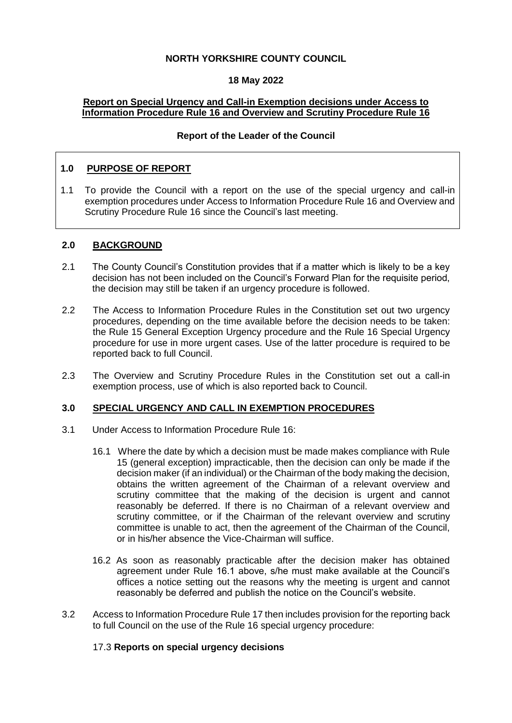### **NORTH YORKSHIRE COUNTY COUNCIL**

#### **18 May 2022**

#### **Report on Special Urgency and Call-in Exemption decisions under Access to Information Procedure Rule 16 and Overview and Scrutiny Procedure Rule 16**

#### **Report of the Leader of the Council**

#### **1.0 PURPOSE OF REPORT**

1.1 To provide the Council with a report on the use of the special urgency and call-in exemption procedures under Access to Information Procedure Rule 16 and Overview and Scrutiny Procedure Rule 16 since the Council's last meeting.

#### **2.0 BACKGROUND**

- 2.1 The County Council's Constitution provides that if a matter which is likely to be a key decision has not been included on the Council's Forward Plan for the requisite period, the decision may still be taken if an urgency procedure is followed.
- 2.2 The Access to Information Procedure Rules in the Constitution set out two urgency procedures, depending on the time available before the decision needs to be taken: the Rule 15 General Exception Urgency procedure and the Rule 16 Special Urgency procedure for use in more urgent cases. Use of the latter procedure is required to be reported back to full Council.
- 2.3 The Overview and Scrutiny Procedure Rules in the Constitution set out a call-in exemption process, use of which is also reported back to Council.

#### **3.0 SPECIAL URGENCY AND CALL IN EXEMPTION PROCEDURES**

- 3.1 Under Access to Information Procedure Rule 16:
	- 16.1 Where the date by which a decision must be made makes compliance with Rule 15 (general exception) impracticable, then the decision can only be made if the decision maker (if an individual) or the Chairman of the body making the decision, obtains the written agreement of the Chairman of a relevant overview and scrutiny committee that the making of the decision is urgent and cannot reasonably be deferred. If there is no Chairman of a relevant overview and scrutiny committee, or if the Chairman of the relevant overview and scrutiny committee is unable to act, then the agreement of the Chairman of the Council, or in his/her absence the Vice-Chairman will suffice.
	- 16.2 As soon as reasonably practicable after the decision maker has obtained agreement under Rule 16.1 above, s/he must make available at the Council's offices a notice setting out the reasons why the meeting is urgent and cannot reasonably be deferred and publish the notice on the Council's website.
- 3.2 Access to Information Procedure Rule 17 then includes provision for the reporting back to full Council on the use of the Rule 16 special urgency procedure:

#### 17.3 **Reports on special urgency decisions**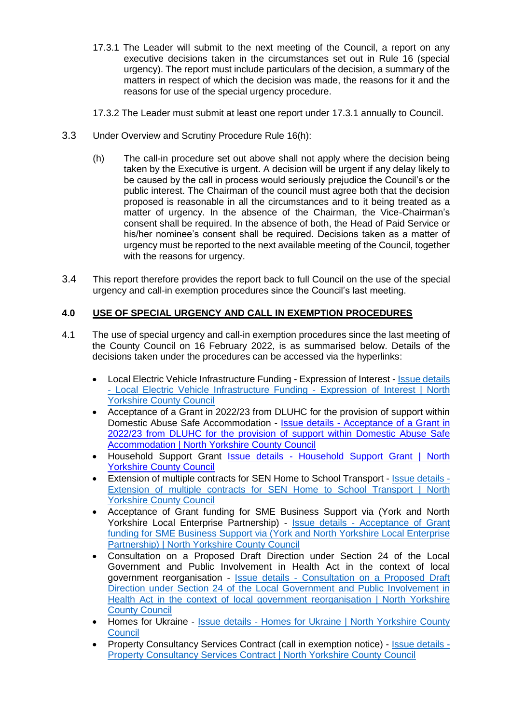- 17.3.1 The Leader will submit to the next meeting of the Council, a report on any executive decisions taken in the circumstances set out in Rule 16 (special urgency). The report must include particulars of the decision, a summary of the matters in respect of which the decision was made, the reasons for it and the reasons for use of the special urgency procedure.
- 17.3.2 The Leader must submit at least one report under 17.3.1 annually to Council.
- 3.3 Under Overview and Scrutiny Procedure Rule 16(h):
	- (h) The call-in procedure set out above shall not apply where the decision being taken by the Executive is urgent. A decision will be urgent if any delay likely to be caused by the call in process would seriously prejudice the Council's or the public interest. The Chairman of the council must agree both that the decision proposed is reasonable in all the circumstances and to it being treated as a matter of urgency. In the absence of the Chairman, the Vice-Chairman's consent shall be required. In the absence of both, the Head of Paid Service or his/her nominee's consent shall be required. Decisions taken as a matter of urgency must be reported to the next available meeting of the Council, together with the reasons for urgency.
- 3.4 This report therefore provides the report back to full Council on the use of the special urgency and call-in exemption procedures since the Council's last meeting.

## **4.0 USE OF SPECIAL URGENCY AND CALL IN EXEMPTION PROCEDURES**

- 4.1 The use of special urgency and call-in exemption procedures since the last meeting of the County Council on 16 February 2022, is as summarised below. Details of the decisions taken under the procedures can be accessed via the hyperlinks:
	- Local Electric Vehicle Infrastructure Funding Expression of Interest **Issue details** - [Local Electric Vehicle Infrastructure Funding -](https://edemocracy.northyorks.gov.uk/mgIssueHistoryHome.aspx?IId=11826&Opt=0) Expression of Interest | North [Yorkshire County Council](https://edemocracy.northyorks.gov.uk/mgIssueHistoryHome.aspx?IId=11826&Opt=0)
	- Acceptance of a Grant in 2022/23 from DLUHC for the provision of support within Domestic Abuse Safe Accommodation - Issue details - [Acceptance of a Grant in](https://edemocracy.northyorks.gov.uk/mgIssueHistoryHome.aspx?IId=11836&Opt=0)  [2022/23 from DLUHC for the provision of support within Domestic Abuse Safe](https://edemocracy.northyorks.gov.uk/mgIssueHistoryHome.aspx?IId=11836&Opt=0)  [Accommodation | North Yorkshire County Council](https://edemocracy.northyorks.gov.uk/mgIssueHistoryHome.aspx?IId=11836&Opt=0)
	- Household Support Grant Issue details Household Support Grant | North Yorkshire [County Council](https://edemocracy.northyorks.gov.uk/mgIssueHistoryHome.aspx?IId=11823&Opt=0)
	- Extension of multiple contracts for SEN Home to School Transport [Issue details -](https://edemocracy.northyorks.gov.uk/mgIssueHistoryHome.aspx?IId=11766&Opt=0) [Extension of multiple contracts for SEN Home to School Transport](https://edemocracy.northyorks.gov.uk/mgIssueHistoryHome.aspx?IId=11766&Opt=0) | North [Yorkshire County Council](https://edemocracy.northyorks.gov.uk/mgIssueHistoryHome.aspx?IId=11766&Opt=0)
	- Acceptance of Grant funding for SME Business Support via (York and North Yorkshire Local Enterprise Partnership) - Issue details - [Acceptance of Grant](https://edemocracy.northyorks.gov.uk/mgIssueHistoryHome.aspx?IId=11709&Opt=0)  [funding for SME Business Support via \(York and North Yorkshire Local Enterprise](https://edemocracy.northyorks.gov.uk/mgIssueHistoryHome.aspx?IId=11709&Opt=0)  [Partnership\) | North Yorkshire County Council](https://edemocracy.northyorks.gov.uk/mgIssueHistoryHome.aspx?IId=11709&Opt=0)
	- Consultation on a Proposed Draft Direction under Section 24 of the Local Government and Public Involvement in Health Act in the context of local government reorganisation - Issue details - [Consultation on a Proposed Draft](https://edemocracy.northyorks.gov.uk/mgIssueHistoryHome.aspx?IId=11777&Opt=0)  [Direction under Section 24 of the Local Government and Public Involvement in](https://edemocracy.northyorks.gov.uk/mgIssueHistoryHome.aspx?IId=11777&Opt=0)  [Health Act in the context of local government reorganisation | North Yorkshire](https://edemocracy.northyorks.gov.uk/mgIssueHistoryHome.aspx?IId=11777&Opt=0)  [County Council](https://edemocracy.northyorks.gov.uk/mgIssueHistoryHome.aspx?IId=11777&Opt=0)
	- Homes for Ukraine Issue details Homes for Ukraine | North Yorkshire County **[Council](https://edemocracy.northyorks.gov.uk/mgIssueHistoryHome.aspx?IId=11699&Opt=0)**
	- Property Consultancy Services Contract (call in exemption notice) [Issue details -](https://edemocracy.northyorks.gov.uk/mgIssueHistoryHome.aspx?IId=11082&Opt=0) [Property Consultancy Services Contract | North Yorkshire County Council](https://edemocracy.northyorks.gov.uk/mgIssueHistoryHome.aspx?IId=11082&Opt=0)